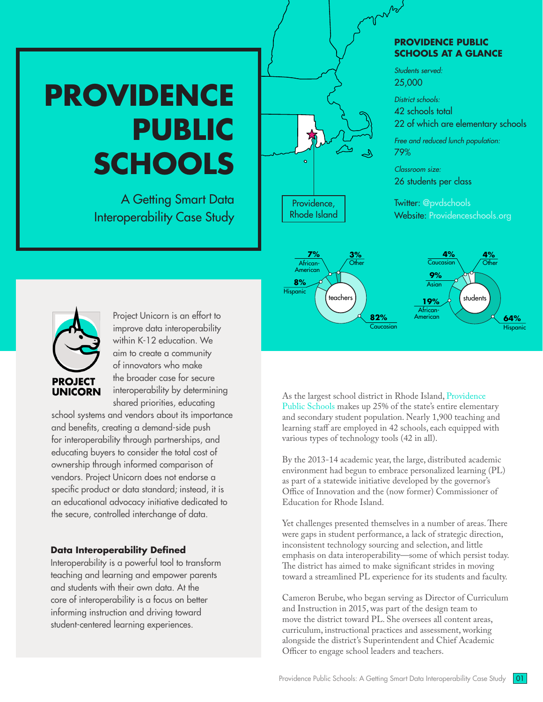# **PROVIDENCE PUBLIC SCHOOLS**

A Getting Smart Data Interoperability Case Study

#### **PROVIDENCE PUBLIC SCHOOLS AT A GLANCE**

*Students served:*  25,000

 $\mu_{\rm D}$ 

*District schools:* 

42 schools total

22 of which are elementary schools

*Free and reduced lunch population:*  79%

*Classroom size:*  26 students per class

Twitter: [@pvdschools](https://twitter.com/pvdschools) Website: [Providenceschools.org](https://www.providenceschools.org/)



**PROJECT UNICORN** 

Project Unicorn is an effort to improve data interoperability within K-12 education. We aim to create a community of innovators who make the broader case for secure interoperability by determining shared priorities, educating

school systems and vendors about its importance and benefits, creating a demand-side push for interoperability through partnerships, and educating buyers to consider the total cost of ownership through informed comparison of vendors. Project Unicorn does not endorse a specific product or data standard; instead, it is an educational advocacy initiative dedicated to the secure, controlled interchange of data.

#### **Data Interoperability Defined**

Interoperability is a powerful tool to transform teaching and learning and empower parents and students with their own data. At the core of interoperability is a focus on better informing instruction and driving toward student-centered learning experiences.

As the largest school district in Rhode Island, [Providence](https://www.providenceschools.org/)  [Public Schools](https://www.providenceschools.org/) makes up 25% of the state's entire elementary and secondary student population. Nearly 1,900 teaching and learning staff are employed in 42 schools, each equipped with various types of technology tools (42 in all).

Providence, Rhode Island

By the 2013-14 academic year, the large, distributed academic environment had begun to embrace personalized learning (PL) as part of a statewide initiative developed by the governor's Office of Innovation and the (now former) Commissioner of Education for Rhode Island.

Yet challenges presented themselves in a number of areas. There were gaps in student performance, a lack of strategic direction, inconsistent technology sourcing and selection, and little emphasis on data interoperability—some of which persist today. The district has aimed to make significant strides in moving toward a streamlined PL experience for its students and faculty.

Cameron Berube, who began serving as Director of Curriculum and Instruction in 2015, was part of the design team to move the district toward PL. She oversees all content areas, curriculum, instructional practices and assessment, working alongside the district's Superintendent and Chief Academic Officer to engage school leaders and teachers.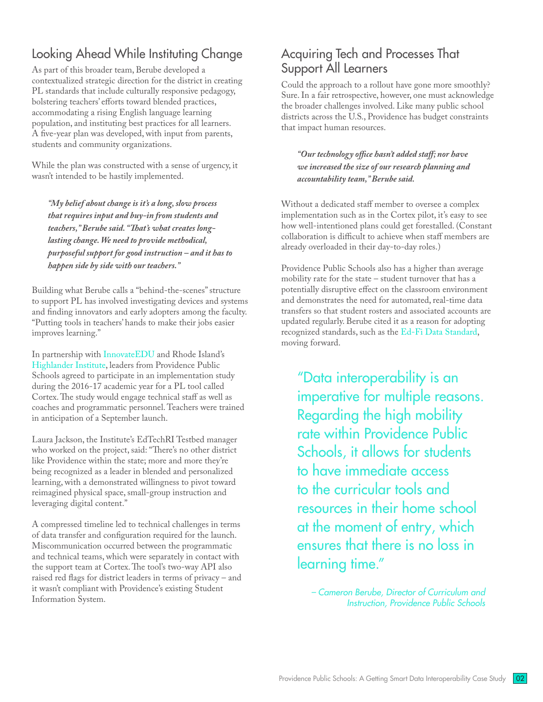# Looking Ahead While Instituting Change

As part of this broader team, Berube developed a contextualized strategic direction for the district in creating PL standards that include culturally responsive pedagogy, bolstering teachers' efforts toward blended practices, accommodating a rising English language learning population, and instituting best practices for all learners. A five-year plan was developed, with input from parents, students and community organizations.

While the plan was constructed with a sense of urgency, it wasn't intended to be hastily implemented.

*"My belief about change is it's a long, slow process that requires input and buy-in from students and teachers," Berube said. "That's what creates longlasting change. We need to provide methodical, purposeful support for good instruction – and it has to happen side by side with our teachers."*

Building what Berube calls a "behind-the-scenes" structure to support PL has involved investigating devices and systems and finding innovators and early adopters among the faculty. "Putting tools in teachers' hands to make their jobs easier improves learning."

In partnership with [InnovateEDU](http://www.innovateedunyc.org/) and Rhode Island's [Highlander Institute](http://www.highlanderinstitute.org/), leaders from Providence Public Schools agreed to participate in an implementation study during the 2016-17 academic year for a PL tool called Cortex. The study would engage technical staff as well as coaches and programmatic personnel. Teachers were trained in anticipation of a September launch.

Laura Jackson, the Institute's EdTechRI Testbed manager who worked on the project, said: "There's no other district like Providence within the state; more and more they're being recognized as a leader in blended and personalized learning, with a demonstrated willingness to pivot toward reimagined physical space, small-group instruction and leveraging digital content."

A compressed timeline led to technical challenges in terms of data transfer and configuration required for the launch. Miscommunication occurred between the programmatic and technical teams, which were separately in contact with the support team at Cortex. The tool's two-way API also raised red flags for district leaders in terms of privacy – and it wasn't compliant with Providence's existing Student Information System.

## Acquiring Tech and Processes That Support All Learners

Could the approach to a rollout have gone more smoothly? Sure. In a fair retrospective, however, one must acknowledge the broader challenges involved. Like many public school districts across the U.S., Providence has budget constraints that impact human resources.

*"Our technology office hasn't added staff; nor have we increased the size of our research planning and accountability team," Berube said.* 

Without a dedicated staff member to oversee a complex implementation such as in the Cortex pilot, it's easy to see how well-intentioned plans could get forestalled. (Constant collaboration is difficult to achieve when staff members are already overloaded in their day-to-day roles.)

Providence Public Schools also has a higher than average mobility rate for the state – student turnover that has a potentially disruptive effect on the classroom environment and demonstrates the need for automated, real-time data transfers so that student rosters and associated accounts are updated regularly. Berube cited it as a reason for adopting recognized standards, such as the [Ed-Fi Data Standard](https://www.ed-fi.org/), moving forward.

"Data interoperability is an imperative for multiple reasons. Regarding the high mobility rate within Providence Public Schools, it allows for students to have immediate access to the curricular tools and resources in their home school at the moment of entry, which ensures that there is no loss in learning time."

*– Cameron Berube, Director of Curriculum and Instruction, Providence Public Schools*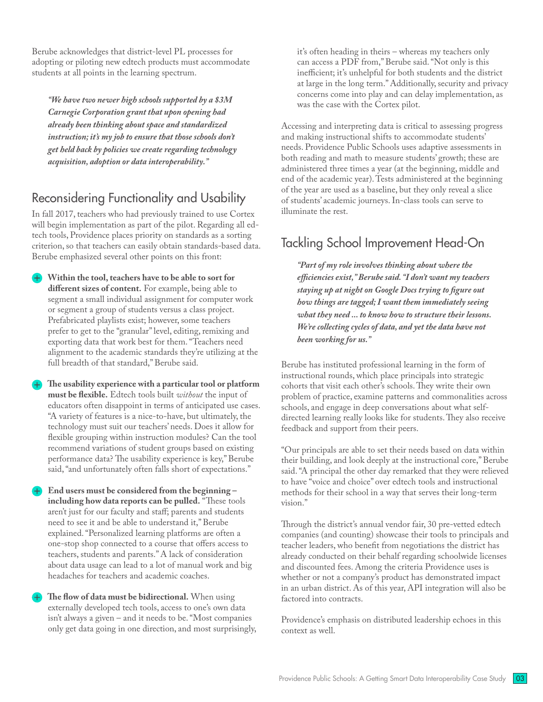Berube acknowledges that district-level PL processes for adopting or piloting new edtech products must accommodate students at all points in the learning spectrum.

*"We have two newer high schools supported by a \$3M Carnegie Corporation grant that upon opening had already been thinking about space and standardized instruction; it's my job to ensure that those schools don't get held back by policies we create regarding technology acquisition, adoption or data interoperability."* 

## Reconsidering Functionality and Usability

In fall 2017, teachers who had previously trained to use Cortex will begin implementation as part of the pilot. Regarding all edtech tools, Providence places priority on standards as a sorting criterion, so that teachers can easily obtain standards-based data. Berube emphasized several other points on this front:

- Within the tool, teachers have to be able to sort for **different sizes of content.** For example, being able to segment a small individual assignment for computer work or segment a group of students versus a class project. Prefabricated playlists exist; however, some teachers prefer to get to the "granular" level, editing, remixing and exporting data that work best for them. "Teachers need alignment to the academic standards they're utilizing at the full breadth of that standard," Berube said.
- The usability experience with a particular tool or platform **must be flexible.** Edtech tools built *without* the input of educators often disappoint in terms of anticipated use cases. "A variety of features is a nice-to-have, but ultimately, the technology must suit our teachers' needs. Does it allow for flexible grouping within instruction modules? Can the tool recommend variations of student groups based on existing performance data? The usability experience is key," Berube said, "and unfortunately often falls short of expectations."
- End users must be considered from the beginning **including how data reports can be pulled.** "These tools aren't just for our faculty and staff; parents and students need to see it and be able to understand it," Berube explained. "Personalized learning platforms are often a one-stop shop connected to a course that offers access to teachers, students and parents." A lack of consideration about data usage can lead to a lot of manual work and big headaches for teachers and academic coaches.
- The flow of data must be bidirectional. When using externally developed tech tools, access to one's own data isn't always a given – and it needs to be. "Most companies only get data going in one direction, and most surprisingly,

it's often heading in theirs – whereas my teachers only can access a PDF from," Berube said. "Not only is this inefficient; it's unhelpful for both students and the district at large in the long term." Additionally, security and privacy concerns come into play and can delay implementation, as was the case with the Cortex pilot.

Accessing and interpreting data is critical to assessing progress and making instructional shifts to accommodate students' needs. Providence Public Schools uses adaptive assessments in both reading and math to measure students' growth; these are administered three times a year (at the beginning, middle and end of the academic year). Tests administered at the beginning of the year are used as a baseline, but they only reveal a slice of students' academic journeys. In-class tools can serve to illuminate the rest.

## Tackling School Improvement Head-On

*"Part of my role involves thinking about where the efficiencies exist," Berube said. "I don't want my teachers staying up at night on Google Docs trying to figure out how things are tagged; I want them immediately seeing what they need ... to know how to structure their lessons. We're collecting cycles of data, and yet the data have not been working for us."* 

Berube has instituted professional learning in the form of instructional rounds, which place principals into strategic cohorts that visit each other's schools. They write their own problem of practice, examine patterns and commonalities across schools, and engage in deep conversations about what selfdirected learning really looks like for students. They also receive feedback and support from their peers.

"Our principals are able to set their needs based on data within their building, and look deeply at the instructional core," Berube said. "A principal the other day remarked that they were relieved to have "voice and choice" over edtech tools and instructional methods for their school in a way that serves their long-term vision."

Through the district's annual vendor fair, 30 pre-vetted edtech companies (and counting) showcase their tools to principals and teacher leaders, who benefit from negotiations the district has already conducted on their behalf regarding schoolwide licenses and discounted fees. Among the criteria Providence uses is whether or not a company's product has demonstrated impact in an urban district. As of this year, API integration will also be factored into contracts.

Providence's emphasis on distributed leadership echoes in this context as well.